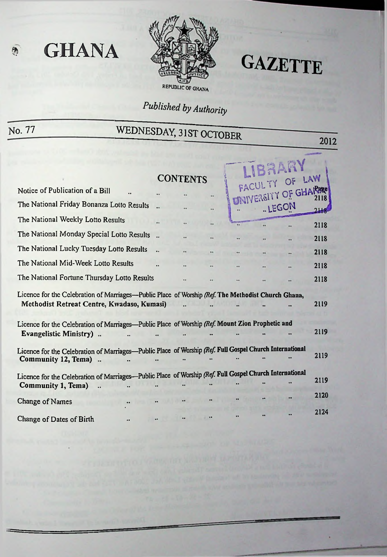

# **GAZETTE**

2012

# *Published by Authority*

**«** GHANA

# No. 77 WEDNESDAY, 31ST OCTOBER

**IBRARY** CONTENTS FACULTY OF LAW **Notice of Publication of a Bill** The National Friday Bonanza Lotto Results . ..LEGON The National Weekly Lotto Results 2118 The National Monday Special Lotto Results .. 2118 The National Lucky Tuesday Lotto Results .. 2118 The National Mid-Week Lotto Results 2118 The National Fortune Thursday Lotto Results 2118 Licence for the Celebration of Marriages—Public Place of Worship *(Ref.* The Methodist Church Ghana, Methodist Retreat Centre, Kwadaso, Kumasi) **<sup>2119</sup>** Licence for the Celebration of Marriages—Public Place of Worship *(Ref. Mount Zion Prophetic and* 2119  $\ddot{\phantom{a}}$ Evangelistic Ministry) ..  $\mathbb{R}$ ÷. Licence for the Celebration of Marriages—Public Place of Worship (Ref. Full Gospel Church International 2119 Community 12, Tema) .. Licence for the Celebration of Marriages-Public Place of Worship (Ref. Full Gospel Church International 2119 Community 1, Tema)  $\ddot{\phantom{a}}$ 2120 Change of Names 2124Change of Dates of Birth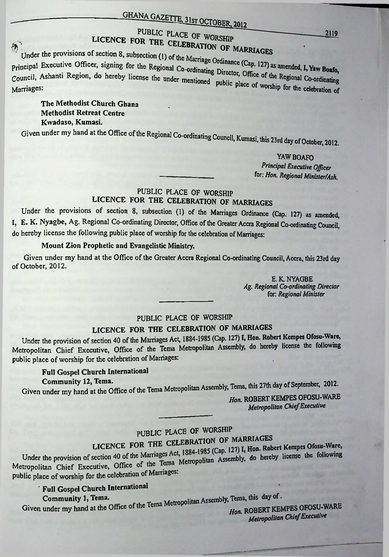# ------------ GHANAGAZETTE, ILst OCTORbp 2012

#### PUBLIC PLACE OF WORSHIP LICENCE FOR THE CELEBRATION **ELEBRATION OF MARRIAGES**<br>Under the provisions of section 8, subsection (1) of the Marriage Q in the Marria

p<sub>rincipal Executive Officer, signing for the Regional Co-ordinating Director, Office of the Regional Co-ordinationed Co-ordinationed Co-ordinationed *Co-ordination*</sub> Marriages:<br>
Marriages: Phe place of worship for the celebration of

The Methodist Church Ghana Methodist Retreat Centre Kwadaso, Kumasi.

Given under my hand at the Office of the Regional Co-ordinating Council, Kumasi, this 23rd day of October, 2012.

> YAW BOAFO *Principal Executive Officer* for: *Hon. Regional Minister/Ash.*

#### PUBLIC PLACE OF WORSHIP LICENCE FOR THE CELEBRATION OF MARRIAGES

Under the provisions of section 8, subsection (1) of the Marriages Ordinance (Cap. 127) as amended, I, E. K. Nyagbe, Ag. Regional Co-ordinating Director, Office of the Greater Accra Regional Co-ordinating Council, do hereby license the following public place of worship for the celebration of Marriages:

#### Mount Zion Prophetic and Evangelistic Ministry.

Given under my hand at the Office of the Greater Accra Regional Co-ordinating Council, Accra, this 23rd day of October, 2012.

> E.K. NYAGBE *Ag. Regional Co-ordinating Director* for: *Regional Minister*

## PUBLIC PLACE OF WORSHIP

## LICENCE FOR THE CELEBRATION OF MARRIAGES

Under the provision of section 40 of the Marriages Act, 1884-1985 (Cap. 127) I, Hon. Robert Kempes Ofosu-Ware, Metropolitan Chief Executive, Office of the Tema Metropolitan Assembly, do hereby license the following public place of worship for the celebration of Marriages:

#### Full Gospel Church International Community 12, Tema.

Given under my hand at the Office of the Tema Metropolitan Assembly, Tema, this 27th day of September, 2012.

*Hon.* ROBERT KEMPES OFOSU-WARE *Metropolitan ChiefExecutive*

# PUBLIC PLACE OF WORSHIP<br>LICENCE FOR THE CELEBRATION OF MARRIAGES

PLACE OF WORSHIP<br>CELEBRATION OF MARRIAGES<br>S. Act. 1884-1985 (Cap. 127) I, Hon. Robert Kempes Under the provision of section 40 of the Marriages Act, 1994-1999 ( $\frac{1}{2}$ ). Assembly, do hereby license the following Metropolitan Chief Executive, Office of the Tema Metropolitan Assembly, do hereby license the following public place of worship for the celebration of Marriages:

## Full Gospel Church International

Community 1, Tema. Given under my hand at the Office of the Tema Metropolitan Assembly, Tema, this day of.

*Hon.* ROBERT KEMPES OFOSU-WARE *Metropolitan ChiefExecutive*

2119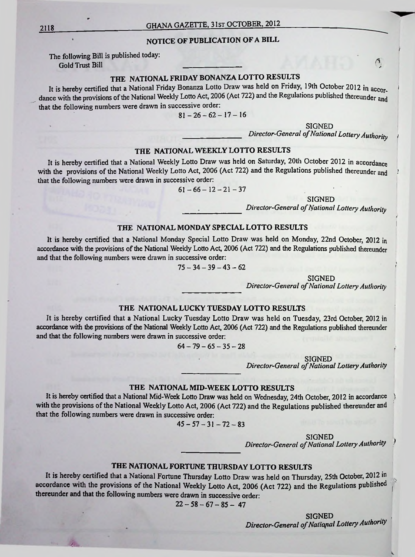#### NOTICE OF PUBLICATION OF A BILL

The following Bill is published today: Gold Trust Bill **Cold Trust Bill (5)** 

#### THE NATIONAL FRIDAY BONANZA LOTTO RESULTS

It is hereby certified that a National Friday Bonanza Lotto Draw was held on Friday, 19th October 2012 in accordance with the provisions of the National Weekly Lotto Act, 2006 (Act 722) and the Regulations published thereunder and that the following numbers were drawn in successive order:

 $81 - 26 - 62 - 17 - 16$ 

SIGNED *Director-General of National Lottery Authority* 

#### THE NATIONAL WEEKLY LOTTO RESULTS

It is hereby certified that a National Weekly Lotto Draw was held on Saturday, 20th October 2012 in accordance with the provisions of the National Weekly Lotto Act, 2006 (Act 722) and the Regulations published thereunder and that the following numbers were drawn in successive order:

$$
61 - 66 - 12 - 21 - 37
$$

**SIGNED** 

*Director-General ofNational Lottery Authority*

#### **<sup>I</sup>** THE NATIONAL MONDAY SPECIAL LOTTO RESULTS

It is hereby certified that a National Monday Special Lotto Draw was held on Monday, 22nd October, 2012 in accordance with the provisions of the National Weekly Lotto Act, 2006 (Act 722) and the Regulations published thereunder and that the following numbers were drawn in successive order:

 $75-34-39-43-62$ 

**SIGNED** 

*Director-General of National Lottery Authority* 

#### THE NATIONAL LUCKY TUESDAY LOTTO RESULTS

It is hereby certified that a National Lucky Tuesday Lotto Draw was held on Tuesday, 23rd October, 2012 in accordance with the provisions of the National Weekly Lotto Act, 2006 (Act 722) and the Regulations published thereunder and that the following numbers were drawn in successive order:

 $64-79-65-35-28$ 

SIGNED

*Director-General of National Lottery Authority* 

#### THE NATIONAL MID-WEEK LOTTO RESULTS

It is hereby certified that a National Mid-Week Lotto Draw was held on Wednesday, 24th October, 2012 in accordance \ with the provisions of the National Weekly Lotto Act, 2006 (Act 722) and the Regulations published thereunder and that the following numbers were drawn in successive order:

$$
45 - 57 - 31 - 72 - 83
$$

SIGNED

*Director-General ofNational LotteryAuthority*

### THE NATIONAL FORTUNE THURSDAY LOTTO RESULTS

It is hereby certified that a National Fortune Thursday Lotto Draw was held on Thursday, 25th October, 2012 in accordance with the provisions of the National Weekly Lotto Act, 2006 (Act 722) and the Regulations published thereunder and that the following numbers were drawn in successive order:

 $22-58-67-85-47$ 

SIGNED *Director-General ofNational LotteryAuthority*

*\*

*mu,.*

j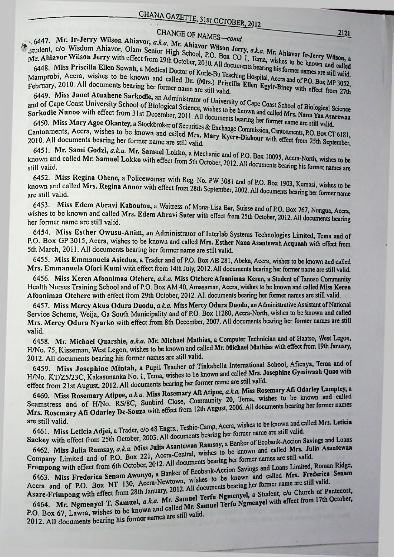# CHANGE OF NAMES-contd.

. 6447. Mr. Ir-Jerry Wilson Ahiavor, a.k.a. Mr. Ahiavor Wilson Jerry, a.k.a. Mr. Ahiavor Ir-Jerry Wilson, a. 6447. IVII. 11-0011, Wisdom Ahiavor, Olam Senior High School, P.O. Box CO 1, Tema, wishes to be known and called Altri Ahiavor Wilson Jerry with effect from 29th October, 2010. All documents bearing his former names are still valid. 1r. Allia vol.<br>6448. Miss Priscilla Ellen Sowah, a Medical Doctor of Korle-Bu Teaching Hospital, Accra and of P.O. Box MP 3052, Mamprobi, Accra, wishes to be known and called Dr. (Mrs.) Priscilla Ellen Egyir-Biney with effect from 27th

6449. Miss Janet Atuahene Sarkodie, an Administrator of University of Cape Coast School of Biological Science and of Cape Coast University School of Biological Science, wishes to be known and called Mrs. Nana Yaa Asarewaa<br>and of Cape Coast University School of Biological Science, wishes to be known and called Mrs. Nana Yaa Asarewa Sarkodie Nunoo with effect from 31st December, 2011. All documents bearing her former name are still valid.

6450. Miss Mary Agoe Okantey, a Stockbroker of Securities & Exchange Commission, Cantonments, P.O. Box CT 6181, Cantonments, Accra, wishes to be known and called Mrs. Mary Kyere-Diabour with effect from 25th September,

6451. Mr. Sami Godzi, a.k.a. Mr. Samuel Lokko, a Mechanic and of P.O. Box 10095, Accra-North, wishes to be known and called Mr. Samuel Lokko with effect from 5th October, 2012. All documents bearing his former names are

6452. Miss Regina Ohene, a Policewoman with Reg. No. PW 3081 and of P.O. Box 1903, Kumasi, wishes to be known and called Mrs. Regina Annor with effect from 28th September, 2002. All documents bearing her former name

6453. Miss Edem Abravi Kaboutou, a Waitress of Mona-Lisa Bar, Suisse and of P.O. Box 767, Nungua, Accra, wishes to be known and called Mrs. Edem Abravi Suter with effect from 25th October, 2012. All documents bearing her former name are still valid.

6454. Miss Esther Owusu-Anim, an Administrator of Interlab Systems Technologies Limited, Tema and of P.O. Box GP 3015, Accra, wishes to be known and called Mrs. Esther Nana Asantewah Acquaah with effect from 5th March, 2011. All documents bearing her former name are still valid.

6455. Miss Emmanuela Asiedua, a Trader and of P.O. Box AB 281, Abeka, Accra, wishes to be known and called Mrs. Emmanuela Ofori Kumi with effect from 14th July, 2012. All documents bearing her former name are still valid.

6456. Miss Keren Afoanimaa Otchere, a.k.a. Miss Otchere Afoanimaa Keren, a Student of Tanoso Community Health Nurses Training School and of P.O. Box AM 40, Amasaman, Accra, wishes to be known and called Miss Keren Afoanimaa Otchere with effect from 29th October, 2012. All documents bearing her former names are still valid.

6457. Miss Mercy Akua Odura Duodu, a.k.a. Miss Mercy Odura Duodu, an Administrative Assistant of National Service Scheme, Weija, Ga South Municipality and of P.O. Box 11280, Accra-North, wishes to be known and called Mrs. Mercy Odura Nyarko with effect from 8th December, 2007. All documents bearing her former names are still valid.

6458. Mr. Michael Quarshie, a.k.a. Mr. Michael Mathias, a Computer Technician and of Haatso, West Legon, H/No. 75, Kisseman, West Legon, wishes to be known and called Mr. Michael Mathias with effect from 19th January, 2012. All documents bearing his former names are still valid.

6459. Miss Josephine Mintah, a Pupil Teacher of Tinkabella International School, Afienya, Tema and of H/No. KT/Z5/23C, Kakasunanka No. 1, Tema, wishes to be known and called Mrs. Josephine Gyesiwaah Quao with effect from 21st August, 2012. All documents bearing her former name are still valid.

6460. Miss Rosemary Atipoe, a.k.a. Miss Rosemary Afi Atipoe, a.k.a. Miss Rosemary Afi Odarley Lamptey, a Seamstress and of H/No. RS/8C, Sunbird Close, Community 20, Tema, wishes to be known and called Mrs. Rosemary Afi Odarley De-Souza with effect from 12th August, 2006. All documents bearing her former names are still valid.

6461. Miss Leticia Adjei, a Trader, c/o 48 Engrs., Teshie-Camp, Accra, wishes to be known and called Mrs. Leticia Sackey with effect from 25th October, 2003. All documents bearing her former name are still valid.

6462. Miss Julia Ranisay, a.k.a. Miss Julia Asantewaa Ramsay, a Banker of Ecobank-Accion Savings and Loans Company Limited and of P.O. Box 221, Accra-Central, wishes to be known and called Mrs. Julia Asantewaa

Frempong with effect from 6th October, 2012. All documents bearing her former names are still valid. 6463. Miss Frederica Senam Awunyo, a Banker of Ecobank-Accion Savings and Loans Limited, Roman Ridge, Accra and of P.O. Box NT 130, Accra-Newtown, wishes to be known and called Mrs. Frederica Senam

Asare-Frimpong with effect from 28th January, 2012. All documents bearing her former name are still valid. 6464. Mr. Ngmenyel T. Samuel, a.k.a. Mr. Samuel Terfu Ngmenyel, a Student, c/o Church of Pentecost, P.O. Box 67, Lawra, wishes to be known and called Mr. Samuel Terfu Ngmenyel with effect from 17th October,

2012. All documents bearing his former names are still valid.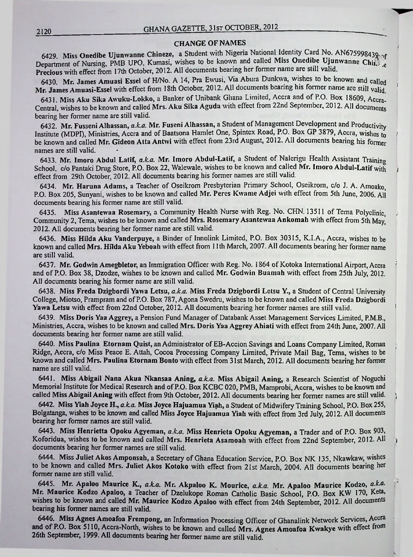#### CHANGE OF NAMES

6429. Miss Onedibe Ujunwanne Chineze, a Student with Nigeria National Identity Card No. AN675998439-of bepartment of Nursing, PMB UPO, Kumasi, wishes to be known and called Miss Onedibe Ujunwanne Chine et Department of Nursing, PMB UPO, Kumasi, wishes to be known and called Miss Onedibe Ujunwanne Chine Precious with effect from 17th October, 2012. All documents bearing her former name are still valid.

6430 Mr. James Amuasi Essel of H/No. A 14, Pra Ewusi, Via Abura Dunkwa, wishes to be known and called Mr. James Amuasi-Essel with effect from 18th October, 2012. All documents bearing his former name are still valid.

**i**

*i*

I

6431. Miss Aku Sika Awuku-Lokko, a Banker of Unibank Ghana Limited, Accra and of P.O. Box 18609, Accra-Central. wishes to be known and called Mrs. Aku Sika Aguda with effect from 22nd September, 2012. All documents bearing her former name are still valid.

6432. Mr. Fusseni Alhassan, *a.La.* Mr. Fuseni Alhassan, a Student ofManagement Development and Productivity Institute (MDPI), Ministries, Accra and of Baatsona Hamlet One, Spintex Road, P.O. Box GP 3879, Accra, wishes to be known and called Mr. Gideon Atta Antwi with effect from 23rd August, 2012. All documents bearing his former names are still valid.

6433. Mr. Imoro Abdul Latif, *a.k.a.* Mr. Imoro Abdul-Latif, a Student of Nalerigu Health Assistant Training School, c/o Pantaki Drug Store, P.O. Box 22, Walewale, wishes to be known and called Mr. Imoro Abdul-Latif with effect from 29th October, 2012. All documents bearing his former names arc still valid.

6434. Mr. Haruna Adams, a Teacher of Oseikrom Presbyterian Primary School, Oseikrom, c/o J. A. Amoako, P.O. Box 205, Sunyani, wishes to be known and called Mr. Peres Kwame Adjei with effect from 5th June, 2006. All documents bearing his former name are still valid.

6435. Miss Asantewaa Rosemary, a Community Health Nurse with Reg. No. CHN. 13511 of Tema Polyclinic, Community 2, Tema, wishes to be known and called Mrs. Rosemary Asantewaa Ankomah with effect from 5th May, 2012. All documents bearing her former name are still valid.

6436. Miss Hilda Aku Vanderpuye, a Binder of Innolink Limited, P.O. Box 30315, K.I.A., Accra, wishes to be known and called Mrs. Hilda Aku Yeboah with effect from 11th March, 2007. All documents bearing her former name are still valid.

6437. Mr. Godwin Amegbletor, an Immigration Officer with Reg. No. 1864 of Kotoka International Airport, Accra ' and of P.O. Box 38, Dzodze, wishes to be known and called Mr. Godwin Buamah with effect from 25th July, 2012. All documents bearing his former name are still valid.

6438. Miss Freda Dzigbordi Yawa Letsu, *a.k.a.* Miss Freda Dzigbordi Letsu Y., a Student of Central University College, Miotso, Prampram and of P.O. Box 787, Agona Swedru, wishes to be known and called Miss Freda Dzigbordi Yawa Letsu with effect from 22nd October, 2012. All documents bearing her former names are still valid.

6439. Miss Doris Yaa Aggrey, a Pension Fund Manager of Databank Asset Management Services Limited. P.M.B., Ministries, Accra, wishes to be known and called Mrs. Doris Yaa Aggrey Ahiati with effect from 24th June, 2007. All documents bearing her former name are still valid.

6440. Miss Paulina Etornam Quist, an Administrator of EB-Accion Savings and Loans Company Limited, Roman Ridge, Accra, c/o Miss Peace E. Attah, Cocoa Processing Company Limited, Private Mail Bag, Tema, wishes to be known and called Mrs. Paulina Etornam Bonto with effect from 31st March, 2012. All documents bearing her former name are still valid.

6441. Miss Abigail Nana Akua Nkansaa Aning, *a.k.a.* Miss Abigail Aning, a Research Scientist of Noguchi Memorial Institute for Medical Research and ofP.O. Box KCBC 020, PMB, Mamprobi, Accra, wishes to be known and called Miss Abigail Aning with effect from 9th October, 2012. All documents bearing her former names are still valid. *)*

6442. Miss Yiah Joyce H., a.k.a. Miss Joyce Hajuamua Yiah, a Student of Midwifery Training School, P.O. Box 255, Bolgatanga, wishes to be known and called Miss Joyce Hajuamua Yiah with effect from 3rd July, 2012. All documents bearing her former names are still valid.

6443. Miss Henrietta Opoku Agyeman, *a.k.a.* Miss Henrieta Opoku Agyeman, a Trader and of P.O. Box 903, Koforidua, wishes to be known and called Mrs. Henrieta Asamoah with effect from 22nd September, 2012. All documents bearing her former names arc still valid.

6444. Miss Juliet Akos Amponsah, a Secretary of Ghana Education Service, P.O. Box NK 135, Nkawkaw, wishes to be known and called Mrs. Juliet Akos Kotoko with effect from 21st March, 2004. All documents bearing her former name are still valid.

Mr. Apaloo Maurice K., *a.k.a.* Mr. Akpaloo K. Mourice, *a.k.a.* Mr. Apaloo Maurice Kodzo, *a.k.a.* 6445.Mr. Maurice Kodzo Apaloo, a Teacher of Dzelukope Roman Catholic Basic School, P.O. Box KW 170, Keta, wishes to be known and called Mr. Maurice Kodzo Apaloo with effect from 24th September, 2012. All documents bearing his former names are still valid.

6446. Miss Agnes Amoafoa Frempong, an Information Processing Officer of Ghanalink Network Services, Accra • and of P.O. Box 5110, Accra-North, wishes to be known and called Mrs. Agnes Amoafoa Kwakye with effect from 26th September, 1999. All documents bearing her former name are still valid.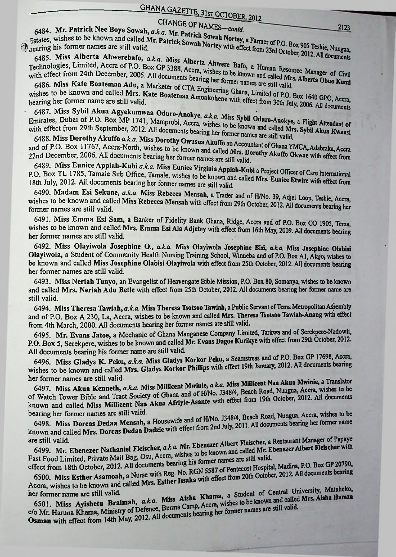# CHANGE OF NAMES-contd.

6484. Mr. Patrick Nee Boye Sowah, a.k.a. Mr. Patrick Sowah Nortey, a Farmer of P.O. Box 905 Teshie, Nungua, the aring his former names are still valid.

6484. MI. Fatter Wiss Live 2.1 and called Mr. Patrick Sowah Nortey with effect from 23rd October, 2012. All documents<br>Estates, wishes to be known and called Mr. Patrick Sowah Nortey with effect from 23rd October, 2012. All earing instanting instants.<br>6485. Miss Alberta Ahwerebafo, a.k.a. Miss Alberta Ahwere Bafo, a Human Resource Manager of Civil

6485. IVIISS CHOOSE LEGENDO P.O. BOX GP 3388, Accra, wishes to be known and called Mrs. Alberta Obuo Kumi<br>Technologies, Limited, Accra of P.O. Box GP 3388, Accra, wishes to be known and called Mrs. Alberta Obuo Kumi with effect from 24th December, 2005. All documents bearing her former names are still valid.

6486. Miss Kate Boatemaa Adu, a Marketer of CTA Engineering Ghana, Limited of P.O. Box 1640 GPO, Accra, 6486. IVIISS TWIS AND DESCRIPTION OF STRAIGHT AND MISHES to be known and called Mrs. Kate Boatemaa Amoakohene with effect from 30th July, 2006. All documents

6487. Miss Sybil Akua Agyekumwaa Oduro-Anokye, a.k.a. Miss Sybil Oduro-Anokye, a Flight Attendant of 6487. ITHS Cyber 1987. ITHS Cyber 1987. ITHS Cyber 1987. ITHS Cyber 1988. Accra, wishes to be known and called Mrs. Sybil Akua Kwaasi with effect from 29th September, 2012. All documents bearing her former names are still valid.

6488. Miss Dorothy Akuffo a.k.a. Miss Dorothy Owusua Akuffo an Accountant of Ghana YMCA, Adabraka, Accra and of P.O. Box 11767, Accra-North, wishes to be known and called Mrs. Dorothy Akuffo Okwae with effect from 22nd December, 2006. All documents bearing her former names are still valid.

6489. Miss Eunice Appiah-Kubi a.k.a. Miss Eunice Virginia Appiah-Kubi a Project Officer of Care International P.O. Box TL 1785, Tamale Sub Office, Tamale, wishes to be known and called Mrs. Eunice Etwire with effect from 18th July, 2012. All documents bearing her former names are still valid.

6490. Madam Esi Sekune, a.k.a. Miss Rebecca Mensah, a Trader and of H/No. 39, Adjei Loop, Teshie, Accra, wishes to be known and called Miss Rebecca Mensah with effect from 29th October, 2012. All documents bearing her former names are still valid.

6491. Miss Emma Esi Sam, a Banker of Fidelity Bank Ghana, Ridge, Accra and of P.O. Box CO 1905, Tema, wishes to be known and called Mrs. Emma Esi Ala Adjetey with effect from 16th May, 2009. All documents bearing her former names are still valid.

6492. Miss Olayiwola Josephine O., a.k.a. Miss Olayiwola Josephine Bisi, a.k.a. Miss Josephine Olabisi Olayiwola, a Student of Community Health Nursing Training School, Winneba and of P.O. Box A1, Alajo; wishes to be known and called Miss Josephine Olabisi Olayiwola with effect from 25th October, 2012. All documents bearing her former names are still valid.

6493. Miss Neriah Tunyo, an Evangelist of Heavengate Bible Mission, P.O. Box 80, Somanya, wishes to be known and called Mrs. Neriah Adu Betle with effect from 25th October, 2012. All documents bearing her former name are still valid.

6494. Miss Theresa Tawiah, a.k.a. Miss Theresa Tsotsoo Tawiah, a Public Servant of Tema Metropolitan Assembly and of P.O. Box A 230, La, Accra, wishes to be known and called Mrs. Theresa Tsotsoo Tawiah-Anang with effect from 4th March, 2000. All documents bearing her former names are still valid.

6495. Mr. Evans Jatoe, a Mechanic of Ghana Manganese Company Limited, Tarkwa and of Serekpere-Nadowli, P.O. Box 5, Serekpere, wishes to be known and called Mr. Evans Dagoe Kurikye with effect from 29th October, 2012. All documents bearing his former name are still valid.

6496. Miss Gladys K. Peku, a.k.a. Miss Gladys Korkor Peku, a Seamstress and of P.O. Box GP 17698, Accra, wishes to be known and called Mrs. Gladys Korkor Phillips with effect 19th January, 2012. All documents bearing her former names are still valid.

6497. Miss Akua Kenneth, a.k.a. Miss Millicent Mwinie, a.k.a. Miss Millicent Naa Akua Mwinie, a Translator of Watch Tower Bible and Tract Society of Ghana and of H/No. J348/4, Beach Road, Nungua, Accra, wishes to be known and called Miss Millicent Naa Akua Afriyie-Asante with effect from 19th October, 2012. All documents bearing her former names are still valid.

6498. Miss Dorcas Dedaa Mensah, a Housewife and of H/No. J348/4, Beach Road, Nungua, Accra, wishes to be known and called Mrs. Dorcas Dedaa Dadzie with effect from 2nd July, 2011. All documents bearing her former name

6499. Mr. Ebenezer Nathaniel Fleischer, a.k.a. Mr. Ebenezer Albert Fleischer, a Restaurant Manager of Papaye are still valid. Fast Food Limited, Private Mail Bag, Osu, Accra, wishes to be known and called Mr. Ebenezer Albert Fleischer with

effect from 18th October, 2012. All documents bearing his former names are still valid. 6500. Miss Esther Asamoah, a Nurse with Reg. No. RGN 5587 of Pentecost Hospital, Madina, P.O. Box GP 20790, Accra, wishes to be known and called Mrs. Esther Issaka with effect from 20th October, 2012. All documents bearing

6501. Miss Ayishetu Braimah, a.k.a. Miss Aisha Khama, a Student of Central University, Mataheko, her former name are still valid.

C/O Mr. Haruna Khama, Ministry of Defence, Burma Camp, Accra, wishes to be known and called Mrs. Aisha Hamza Osman with effect from 14th May, 2012. All documents bearing her former names are still valid.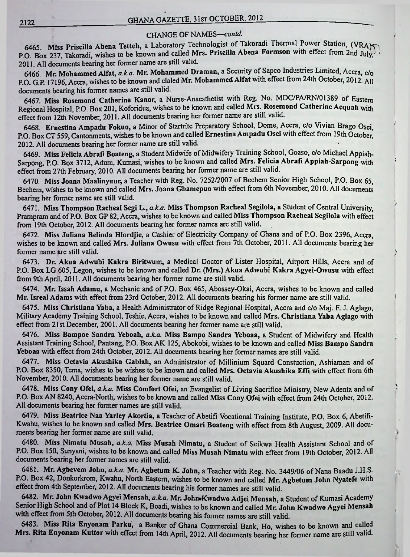#### CHANGE OF NAMES—*contd.*

6465. Miss Priscilla Abena Tetteh, a Laboratory Technologist of Takoradi Thermal Power Station, (VRA)5. P.O. Box 237, Takoradi, wishes to be known and called Mrs. Priscilla Abena Formson with effect from 2nd July/ *'* 2011. All documents bearing her former name are still valid.

6466. Mr. Mohammed Alfat, *a.ka.* Mr. Mohammed Draman, a Security of Sapco Industries Limited, Accra, c/o P.O. G.P. 17196, Accra, wishes to be known and claled Mr. Mohammed Alfat with effect from 24th October, 2012. All documents bearing his former names are still valid.

6467. Miss Rosemond Catherine Kanor, a Nurse-Anaesthetist with Reg. No. MDC/PA/RN/01389 of Eastern Regional Hospital, P.O. Box 201, Koforidua, wishes to be known and called Mrs. Rosemond Catherine Acquah with effect from 12th November, 2011. All documents bearing her former name are still valid.

6468. Ernestina Ampadu Fokuo, a Minor of Startrite Preparatory School, Dome, Accra, c/o Vivian Brago Osei, P.O. Box CT 559, Cantonments, wishes to be known and called Ernestina Ampadu Osei with effect from 19th October, 2012. All documents bearing her former name are still valid.

*)*

'

 $\cdot$ 

6469. Miss Felicia Abrafi Boateng, a Student Midwife of Midwifery Training School, Goaso, c/o Michael Appiah-Sarpong, P.O. Box 3712, Adum, Kumasi, wishes to be known and called Mrs. Felicia Abrafi Appiah-Sarpong with effect from 27th February, 2010. All documents bearing her former name are still valid.

6470. Miss Joana Maalinyuur, a Teacher with Reg. No. 7252/2007 of Bechem Senior High School, P.O. Box 65, Bechem, wishes to be known and called Mrs. Joana Gbamepuo with effect from 6th November, 2010. All documents bearing her former name are still valid.

6471. Miss Thompson Racheal Segi L., *a.k.a.* Miss Thompson Racheal Segilola, a Student of Central University, Prampram and of P.O. Box GP 82, Accra, wishes to be known and called Miss Thompson Racheal Segilola with effect from 19th October, 2012. All documents bearing her former names are still valid.

6472. Miss Juliana Belinda Hlordjie, a Cashier of Electricity Company of Ghana and of P.O. Box 2396, Accra, wishes to be known and called Mrs. Juliana Owusu with effect from 7th October, 2011. All documents bearing her former name are still valid.

6473. Dr. Akua Adwubi Kakra Biritwum, a Medical Doctor of Lister Hospital, Airport Hills, Accra and of P.O. Box LG 605, Legon, wishes to be known and called Dr. (Mrs.) Akua Adwubi Kakra Agyei-Owusu with effect from 9th April, 2011. All documents bearing her former name are still valid.

6474. Mr. Issah Adamu, a Mechanic and of P.O. Box 465, Abossey-Okai, Accra, wishes to be known and called Mr. Isreal Adams with effect from 23rd October, 2012. All documents bearing his former name are still valid.

6475. Miss Christiana Yaba, a Health Administrator of Ridge Regional Hospital, Accra and c/o Maj. F. J. Aglago, Military Academy Training School, Teshie, Accra, wishes to be known and called Mrs. Christiana Yaba Aglago with effect from 21st December, 2001. All documents bearing her former name are still valid.

6476. Miss Bampoe Sandra Yeboah, *a.ka.* Miss Bampo Sandra Yeboaa, a Student of Midwifery and Health Assistant Training School, Pantang, P.O. Box AK 125, Abokobi, wishes to be known and called Miss Bampo Sandra Yeboaa with effect from 24th October, 2012. All documents bearing her former names are still valid.

6477. Miss Octavia Akushika Gablah, an Administrator of Millinium Squard Constuction, Ashiaman and of P.O. Box 8350, Tema, wishes to be wishes to be known and called Mrs. Octavia Akushika Effi with effect from 6th November, 2010. All documents bearing her former name are still valid.

6478. Miss Cony Ofei, *a.k.a.* Miss Comfort Ofei, an Evangelist of Living Sacrifice Ministry, New Adenta and of P.O. Box AN 8240, Accra-North, wishes to be known and called Miss Cony Ofei with effect from 24th October, 2012. All documents bearing her former names are still valid.

6479. Miss Beatrice Naa Yarley Akortia, a Teacher of Abetifi Vocational Training Institute, P.O. Box 6, Abetifi-Kwahu, wishes to be known and called Mrs. Beatrice Omari Boateng with effect from 8th August, 2009. All documents bearing her former name are still valid.

6480. Miss Nimatu Musah, *a.ka.* Miss Musah Nimatu, a Student of Seikwa Health Assistant School and of P.O. Box 150, Sunyani, wishes to be known and called Miss Musah Nimatu with effect from 19th October, 2012. All documents bearing her former names are still valid.

6481. Mr. Agbevem John, a.k.a. Mr. Agbetum K. John, a Teacher with Reg. No. 3449/06 of Nana Baadu J.H.S. P.O. Box 42, Donkorkrom, Kwahu, North Eastern, wishes to be known and called Mr. Agbetum John Nyatefe with effect from 4th September, 2012. All documents bearing his former names are still valid.

6482. Mr. John Kwadwo Agyei Mensah, a.k.a. Mr. John.Kwadwo Adjei Mensah, a Student of Kumasi Academy Senior High School and of Plot 14 Block K, Boadi, wishes to be known and called Mr. John Kwadwo Agyei Mensah with effect from 5th October, 2012. All documents bearing his former names are still valid.

6483. Miss Rita Enyonam Parku, a Banker of Ghana Commercial Bank, Ho, wishes to be known and called Mrs. Rita Enyonam Kuttor with effect from 14th April, 2012. All documents bearing her former name are still valid.